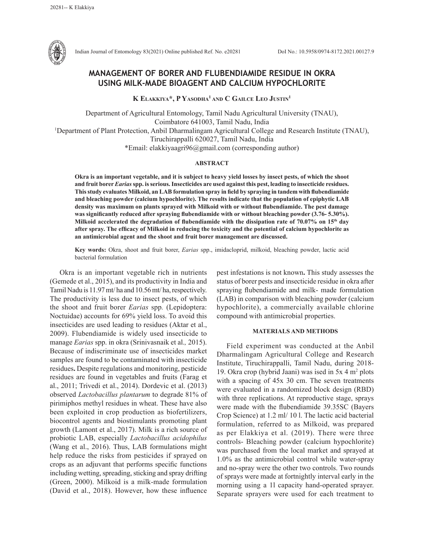

Indian Journal of Entomology 83(2021) Online published Ref. No. e20281 DoI No.: 10.5958/0974-8172.2021.00127.9

# **MANAGEMENT OF BORER AND FLUBENDIAMIDE RESIDUE IN OKRA USING MILK-MADE BIOAGENT AND CALCIUM HYPOCHLORITE**

**K Elakkiya\*, P Yasodha1 and C Gailce Leo Justin1**

Department of Agricultural Entomology, Tamil Nadu Agricultural University (TNAU), Coimbatore 641003, Tamil Nadu, India 1 Department of Plant Protection, Anbil Dharmalingam Agricultural College and Research Institute (TNAU), Tiruchirappalli 620027, Tamil Nadu, India \*Email: elakkiyaagri96@gmail.com (corresponding author)

## **ABSTRACT**

**Okra is an important vegetable, and it is subject to heavy yield losses by insect pests, of which the shoot and fruit borer** *Earias***spp. is serious. Insecticides are used against this pest, leading to insecticide residues. This study evaluates Milkoid, an LAB formulation spray in field by spraying in tandem with flubendiamide and bleaching powder (calcium hypochlorite). The results indicate that the population of epiphytic LAB density was maximum on plants sprayed with Milkoid with or without flubendiamide. The pest damage was significantly reduced after spraying flubendiamide with or without bleaching powder (3.76- 5.30%). Milkoid accelerated the degradation of flubendiamide with the dissipation rate of 70.07% on 15th day after spray. The efficacy of Milkoid in reducing the toxicity and the potential of calcium hypochlorite as an antimicrobial agent and the shoot and fruit borer management are discussed.**

**Key words:** Okra, shoot and fruit borer, *Earias* spp., imidacloprid, milkoid, bleaching powder, lactic acid bacterial formulation

Okra is an important vegetable rich in nutrients (Gemede et al., 2015), and its productivity in India and Tamil Nadu is 11.97 mt/ ha and 10.56 mt/ ha, respectively. The productivity is less due to insect pests, of which the shoot and fruit borer *Earias* spp*.* (Lepidoptera: Noctuidae) accounts for 69% yield loss. To avoid this insecticides are used leading to residues (Aktar et al., 2009). Flubendiamide is widely used insecticide to manage *Earias* spp. in okra (Srinivasnaik et al.*,* 2015). Because of indiscriminate use of insecticides market samples are found to be contaminated with insecticide residues**.** Despite regulations and monitoring, pesticide residues are found in vegetables and fruits (Farag et al., 2011; Trivedi et al., 2014). Dordevic et al. (2013) observed *Lactobacillus plantarum* to degrade 81% of pirimiphos methyl residues in wheat. These have also been exploited in crop production as biofertilizers, biocontrol agents and biostimulants promoting plant growth (Lamont et al., 2017). Milk is a rich source of probiotic LAB, especially *Lactobacillus acidophilus* (Wang et al., 2016). Thus, LAB formulations might help reduce the risks from pesticides if sprayed on crops as an adjuvant that performs specific functions including wetting, spreading, sticking and spray drifting (Green, 2000). Milkoid is a milk-made formulation (David et al., 2018). However, how these influence pest infestations is not known**.** This study assesses the status of borer pests and insecticide residue in okra after spraying flubendiamide and milk- made formulation (LAB) in comparison with bleaching powder (calcium hypochlorite), a commercially available chlorine compound with antimicrobial properties.

## **MATERIALS AND METHODS**

Field experiment was conducted at the Anbil Dharmalingam Agricultural College and Research Institute, Tiruchirappalli, Tamil Nadu, during 2018- 19. Okra crop (hybrid Jaani) was ised in 5x 4 m<sup>2</sup> plots with a spacing of 45x 30 cm. The seven treatments were evaluated in a randomized block design (RBD) with three replications. At reproductive stage, sprays were made with the flubendiamide 39.35SC (Bayers Crop Science) at 1.2 ml/ 10 l. The lactic acid bacterial formulation, referred to as Milkoid, was prepared as per Elakkiya et al. (2019). There were three controls- Bleaching powder (calcium hypochlorite) was purchased from the local market and sprayed at 1.0% as the antimicrobial control while water-spray and no-spray were the other two controls. Two rounds of sprays were made at fortnightly interval early in the morning using a 1l capacity hand-operated sprayer. Separate sprayers were used for each treatment to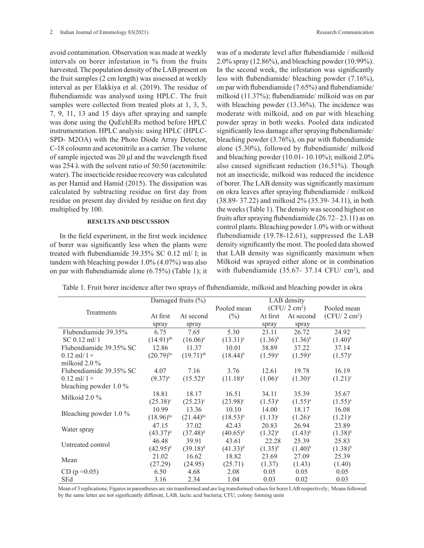avoid contamination. Observation was made at weekly intervals on borer infestation in % from the fruits harvested. The population density of the LAB present on the fruit samples (2 cm length) was assessed at weekly interval as per Elakkiya et al. (2019). The residue of flubendiamide was analysed using HPLC. The fruit samples were collected from treated plots at 1, 3, 5, 7, 9, 11, 13 and 15 days after spraying and sample was done using the QuEchERs method before HPLC instrumentation. HPLC analysis: using HPLC (HPLC-SPD- M2OA) with the Photo Diode Array Detector, C-18 coloumn and acetonitrile as a carrier. The volume of sample injected was 20 μl and the wavelength fixed was 254  $\lambda$  with the solvent ratio of 50:50 (acetonitrile: water). The insecticide residue recovery was calculated as per Hamid and Hamid (2015). The dissipation was calculated by subtracting residue on first day from residue on present day divided by residue on first day multiplied by 100.

### **RESULTS AND DISCUSSION**

In the field experiment, in the first week incidence of borer was significantly less when the plants were treated with flubendiamide 39.35% SC 0.12 ml/ l; in tandem with bleaching powder 1.0% (4.07%) was also on par with flubendiamide alone (6.75%) (Table 1); it was of a moderate level after flubendiamide / milkoid 2.0% spray (12.86%), and bleaching powder (10.99%). In the second week, the infestation was significantly less with flubendiamide/ bleaching powder (7.16%), on par with flubendiamide (7.65%) and flubendiamide/ milkoid (11.37%); flubendiamide/ milkoid was on par with bleaching powder (13.36%). The incidence was moderate with milkoid, and on par with bleaching powder spray in both weeks. Pooled data indicated significantly less damage after spraying flubendiamide/ bleaching powder (3.76%), on par with flubendiamide alone (5.30%), followed by flubendiamide/ milkoid and bleaching powder (10.01- 10.10%); milkoid 2.0% also caused significant reduction (16.51%). Though not an insecticide, milkoid was reduced the incidence of borer. The LAB density was significantly maximum on okra leaves after spraying flubendiamide / milkoid (38.89- 37.22) and milkoid 2% (35.39- 34.11), in both the weeks (Table 1). The density was second highest on fruits after spraying flubendiamide (26.72– 23.11) as on control plants. Bleaching powder 1.0% with or without flubendiamide (19.78-12.61), suppressed the LAB density significantly the most. The pooled data showed that LAB density was significantly maximum when Milkoid was sprayed either alone or in combination with flubendiamide  $(35.67 - 37.14 \text{ CFU}/ \text{ cm}^2)$ , and

Table 1. Fruit borer incidence after two sprays of flubendiamide, milkoid and bleaching powder in okra

|                          | Damaged fruits $(\% )$  |                         | LAB density       |              |                        |                        |
|--------------------------|-------------------------|-------------------------|-------------------|--------------|------------------------|------------------------|
| Treatments               |                         |                         | Pooled mean       |              | $(CFU/2 \text{ cm}^2)$ | Pooled mean            |
|                          | At first                | At second               | $(\%)$            | At first     | At second              | $(CFU/2 \text{ cm}^2)$ |
|                          | spray                   | spray                   |                   | spray        | spray                  |                        |
| Flubendiamide 39.35%     | 6.75                    | 7.65                    | 5.30              | 23.11        | 26.72                  | 24.92                  |
| $SC 0.12$ ml/ 1          | $(14.91)$ <sup>ab</sup> | $(16.06)^{a}$           | $(13.31)^{a}$     | $(1.36)^{b}$ | $(1.36)^{b}$           | $(1.40)^{b}$           |
| Flubendiamide 39.35% SC  | 12.86                   | 11.37                   | 10.01             | 38.89        | 37.22                  | 37.14                  |
| $0.12$ ml/ $1 +$         | $(20.79)^{bc}$          | $(19.71)$ <sup>ab</sup> | $(18.44)^{b}$     | $(1.59)^{a}$ | $(1.59)^{a}$           | $(1.57)^{a}$           |
| milkoid $2.0\%$          |                         |                         |                   |              |                        |                        |
| Flubendiamide 39.35% SC  | 4.07                    | 7.16                    | 3.76              | 12.61        | 19.78                  | 16.19                  |
| $0.12$ ml/ 1 +           | $(9.37)^{a}$            | $(15.52)^{a}$           | $(11.18)^{a}$     | $(1.06)^c$   | $(1.30)^c$             | $(1.21)^c$             |
| bleaching powder $1.0\%$ |                         |                         |                   |              |                        |                        |
| Milkoid $2.0\%$          | 18.81                   | 18.17                   | 16.51             | 34.11        | 35.39                  | 35.67                  |
|                          | $(25.38)^{\circ}$       | $(25.23)^{\circ}$       | $(23.98)^{\circ}$ | $(1.53)^{a}$ | $(1.55)^{a}$           | $(1.55)^{a}$           |
| Bleaching powder $1.0\%$ | 10.99                   | 13.36                   | 10.10             | 14.00        | 18.17                  | 16.08                  |
|                          | $(18.96)^{bc}$          | $(21.44)$ <sup>bc</sup> | $(18.53)^{b}$     | $(1.13)^c$   | $(1.26)^c$             | $(1.21)^c$             |
| Water spray              | 47.15                   | 37.02                   | 42.43             | 20.83        | 26.94                  | 23.89                  |
|                          | $(43.37)^d$             | $(37.48)^d$             | $(40.65)^d$       | $(1.32)^{b}$ | $(1.43)^{b}$           | $(1.38)^{b}$           |
| Untreated control        | 46.48                   | 39.91                   | 43.61             | 22.28        | 25.39                  | 25.83                  |
|                          | $(42.95)^{d}$           | $(39.18)^d$             | $(41.33)^d$       | $(1.35)^{b}$ | $(1.40)^{b}$           | $(1.38)^{b}$           |
| Mean                     | 21.02                   | 16.62                   | 18.82             | 23.69        | 27.09                  | 25.39                  |
|                          | (27.29)                 | (24.95)                 | (25.71)           | (1.37)       | (1.43)                 | (1.40)                 |
| $CD (p = 0.05)$          | 6.50                    | 4.68                    | 2.08              | 0.05         | 0.05                   | 0.05                   |
| <b>SEd</b>               | 3.16                    | 2.34                    | 1.04              | 0.03         | 0.02                   | 0.03                   |

Mean of 3 replications; Figures in parentheses arc sin transformed and are log transformed values for borer LAB respectively; Means followed by the same letter are not significantly different, LAB, lactic acid bacteria; CFU, colony forming units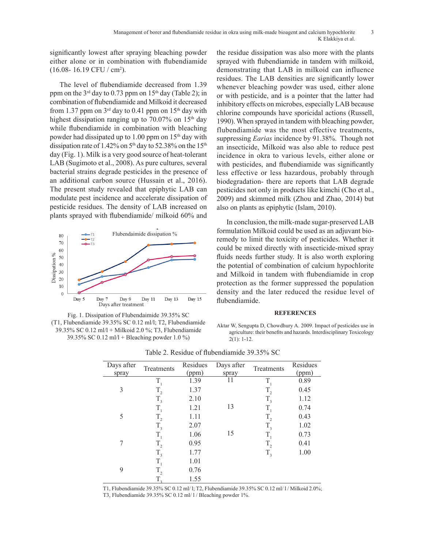significantly lowest after spraying bleaching powder either alone or in combination with flubendiamide  $(16.08 - 16.19$  CFU / cm<sup>2</sup>).

The level of flubendiamide decreased from 1.39 ppm on the  $3<sup>rd</sup>$  day to 0.73 ppm on 15<sup>th</sup> day (Table 2); in combination of flubendiamide and Milkoid it decreased from 1.37 ppm on  $3<sup>rd</sup>$  day to 0.41 ppm on 15<sup>th</sup> day with highest dissipation ranging up to  $70.07\%$  on  $15<sup>th</sup>$  day while flubendiamide in combination with bleaching powder had dissipated up to 1.00 ppm on  $15<sup>th</sup>$  day with dissipation rate of 1.42% on  $5<sup>th</sup>$  day to 52.38% on the 15<sup>th</sup> day (Fig. 1). Milk is a very good source of heat-tolerant LAB (Sugimoto et al., 2008). As pure cultures, several bacterial strains degrade pesticides in the presence of an additional carbon source (Hussain et al., 2016). The present study revealed that epiphytic LAB can modulate pest incidence and accelerate dissipation of pesticide residues. The density of LAB increased on plants sprayed with flubendiamide/ milkoid 60% and





the residue dissipation was also more with the plants sprayed with flubendiamide in tandem with milkoid, demonstrating that LAB in milkoid can influence residues. The LAB densities are significantly lower whenever bleaching powder was used, either alone or with pesticide, and is a pointer that the latter had inhibitory effects on microbes, especially LAB because chlorine compounds have sporicidal actions (Russell, 1990). When sprayed in tandem with bleaching powder, flubendiamide was the most effective treatments, suppressing *Earias* incidence by 91.38%. Though not an insecticide, Milkoid was also able to reduce pest incidence in okra to various levels, either alone or with pesticides, and flubendiamide was significantly less effective or less hazardous, probably through biodegradation- there are reports that LAB degrade pesticides not only in products like kimchi (Cho et al., 2009) and skimmed milk (Zhou and Zhao, 2014) but also on plants as epiphytic (Islam, 2010).

In conclusion, the milk-made sugar-preserved LAB formulation Milkoid could be used as an adjuvant bioremedy to limit the toxicity of pesticides. Whether it could be mixed directly with insecticide-mixed spray fluids needs further study. It is also worth exploring the potential of combination of calcium hypochlorite and Milkoid in tandem with flubendiamide in crop protection as the former suppressed the population density and the later reduced the residue level of flubendiamide.

### **REFERENCES**

Aktar W, Sengupta D, Chowdhury A. 2009. Impact of pesticides use in agriculture: their benefits and hazards. Interdisciplinary Toxicology 2(1): 1-12.

| Days after | Treatments  | Residues | Days after | Treatments | Residues |
|------------|-------------|----------|------------|------------|----------|
| spray      |             | (ppm)    | spray      |            | (ppm)    |
| 3          | $T_{1}$     | 1.39     | 11         | T,         | 0.89     |
|            | $T_{2}$     | 1.37     |            | $T_{2}$    | 0.45     |
|            | $T_{3}$     | 2.10     |            | $T_{3}$    | 1.12     |
| 5          | $T_{1}$     | 1.21     | 13         | T,         | 0.74     |
|            | $T_{2}$     | 1.11     |            | $T_{2}$    | 0.43     |
|            | $T_{3}$     | 2.07     |            | $T_{3}$    | 1.02     |
| 7          | $T_{1}$     | 1.06     | 15         | $T_{1}$    | 0.73     |
|            | $T_{2}$     | 0.95     |            | $T_{2}$    | 0.41     |
|            | $T_{3}$     | 1.77     |            | $T_{3}$    | 1.00     |
| 9          | $T_{1}$     | 1.01     |            |            |          |
|            | $T_{2}$     | 0.76     |            |            |          |
|            | $T_{\rm a}$ | 1.55     |            |            |          |

Table 2. Residue of flubendiamide 39.35% SC

T1, Flubendiamide 39.35% SC 0.12 ml/ l; T2, Flubendiamide 39.35% SC 0.12 ml/ l / Milkoid 2.0%;

T3, Flubendiamide 39.35% SC 0.12 ml/ l / Bleaching powder 1%.